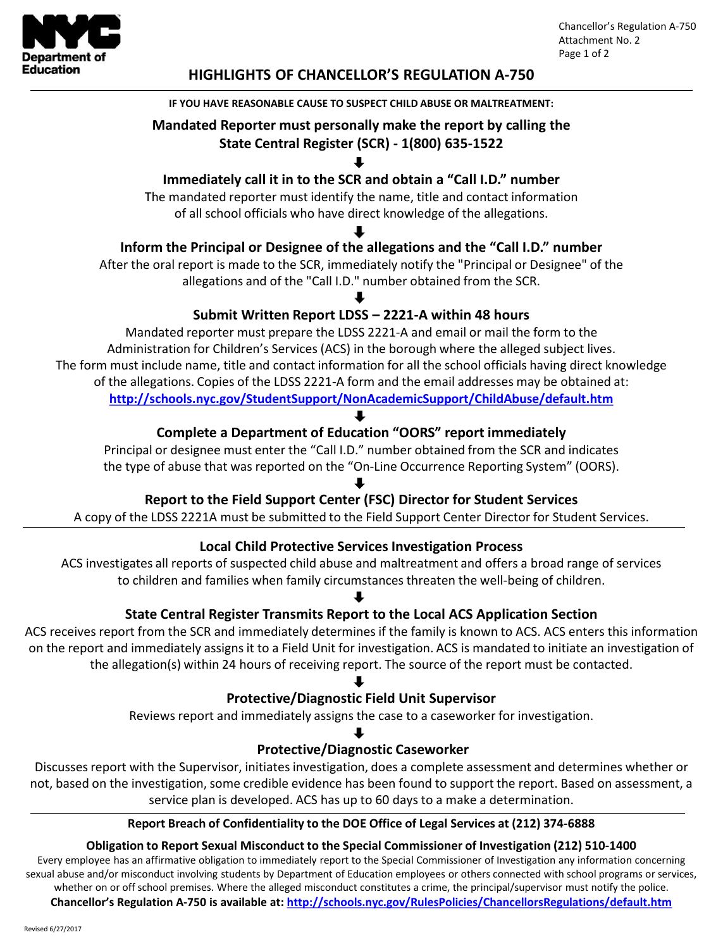

#### **HIGHLIGHTS OF CHANCELLOR'S REGULATION A-750**

#### **IF YOU HAVE REASONABLE CAUSE TO SUSPECT CHILD ABUSE OR MALTREATMENT:**

#### **Mandated Reporter must personally make the report by calling the State Central Register (SCR) - 1(800) 635-1522**

## **Immediately call it in to the SCR and obtain a "Call I.D." number**

The mandated reporter must identify the name, title and contact information of all school officials who have direct knowledge of the allegations.

## **Inform the Principal or Designee of the allegations and the "Call I.D." number**

After the oral report is made to the SCR, immediately notify the "Principal or Designee" of the allegations and of the "Call I.D." number obtained from the SCR.

## **Submit Written Report LDSS – 2221-A within 48 hours**

Mandated reporter must prepare the LDSS 2221-A and email or mail the form to the Administration for Children's Services (ACS) in the borough where the alleged subject lives. The form must include name, title and contact information for all the school officials having direct knowledge of the allegations. Copies of the LDSS 2221-A form and the email addresses may be obtained at: **<http://schools.nyc.gov/StudentSupport/NonAcademicSupport/ChildAbuse/default.htm>**

## **Complete a Department of Education "OORS" report immediately**

Principal or designee must enter the "Call I.D." number obtained from the SCR and indicates the type of abuse that was reported on the "On-Line Occurrence Reporting System" (OORS).

## **Report to the Field Support Center (FSC) Director for Student Services**

A copy of the LDSS 2221A must be submitted to the Field Support Center Director for Student Services.

#### **Local Child Protective Services Investigation Process**

ACS investigates all reports of suspected child abuse and maltreatment and offers a broad range of services to children and families when family circumstances threaten the well-being of children.

#### **State Central Register Transmits Report to the Local ACS Application Section**

ACS receives report from the SCR and immediately determines if the family is known to ACS. ACS enters this information on the report and immediately assigns it to a Field Unit for investigation. ACS is mandated to initiate an investigation of the allegation(s) within 24 hours of receiving report. The source of the report must be contacted.

#### **Protective/Diagnostic Field Unit Supervisor**

Reviews report and immediately assigns the case to a caseworker for investigation.

#### **Protective/Diagnostic Caseworker**

Discusses report with the Supervisor, initiates investigation, does a complete assessment and determines whether or not, based on the investigation, some credible evidence has been found to support the report. Based on assessment, a service plan is developed. ACS has up to 60 days to a make a determination.

#### **Report Breach of Confidentiality to the DOE Office of Legal Services at (212) 374-6888**

#### **Obligation to Report Sexual Misconduct to the Special Commissioner of Investigation (212) 510-1400**

Every employee has an affirmative obligation to immediately report to the Special Commissioner of Investigation any information concerning sexual abuse and/or misconduct involving students by Department of Education employees or others connected with school programs or services, whether on or off school premises. Where the alleged misconduct constitutes a crime, the principal/supervisor must notify the police.

**Chancellor's Regulation A-750 is available at: <http://schools.nyc.gov/RulesPolicies/ChancellorsRegulations/default.htm>**